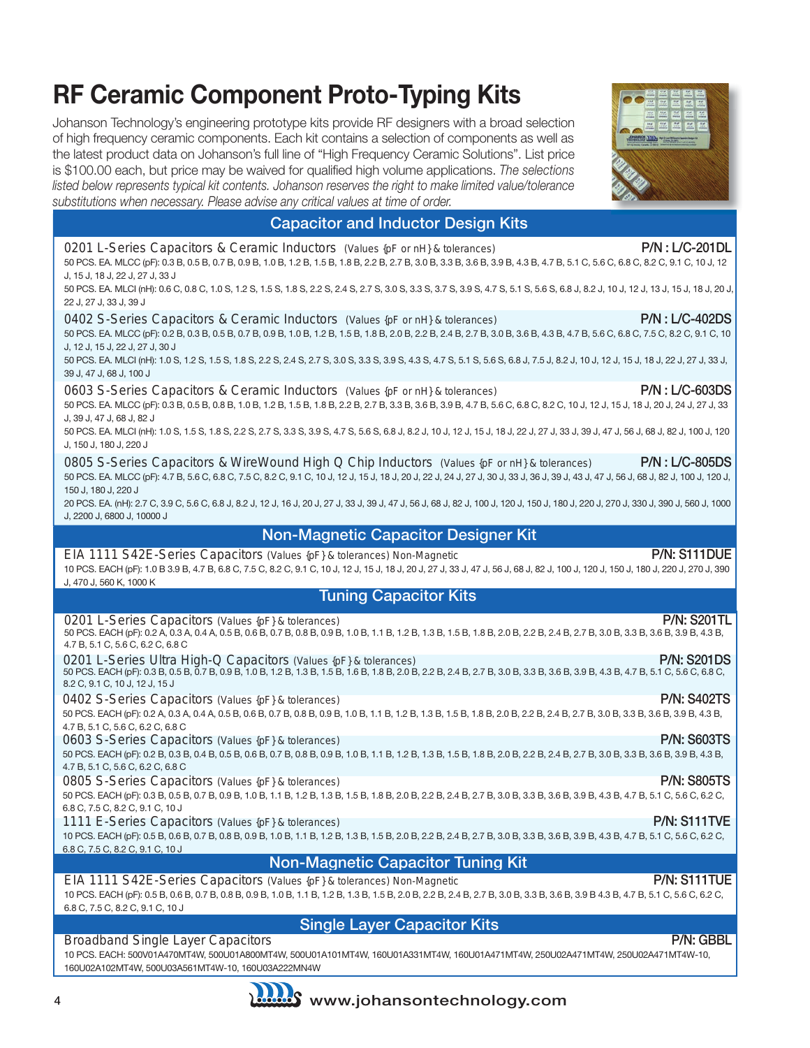# **RF Ceramic Component Proto-Typing Kits**

Johanson Technology's engineering prototype kits provide RF designers with a broad selection of high frequency ceramic components. Each kit contains a selection of components as well as the latest product data on Johanson's full line of "High Frequency Ceramic Solutions". List price is \$100.00 each, but price may be waived for qualified high volume applications. *The selections listed below represents typical kit contents. Johanson reserves the right to make limited value/tolerance substitutions when necessary. Please advise any critical values at time of order.*



### Capacitor and Inductor Design Kits

| 0201 L-Series Capacitors & Ceramic Inductors (Values {pF or nH} & tolerances)<br>50 PCS. EA. MLCC (pF): 0.3 B, 0.5 B, 0.7 B, 0.9 B, 1.0 B, 1.2 B, 1.5 B, 1.8 B, 2.2 B, 2.7 B, 3.0 B, 3.3 B, 3.6 B, 3.9 B, 4.3 B, 4.7 B, 5.1 C, 5.6 C, 6.8 C, 8.2 C, 9.1 C, 10 J, 12<br>J, 15 J, 18 J, 22 J, 27 J, 33 J                                                                                                                                                                                             | P/N: L/C-201DL        |
|----------------------------------------------------------------------------------------------------------------------------------------------------------------------------------------------------------------------------------------------------------------------------------------------------------------------------------------------------------------------------------------------------------------------------------------------------------------------------------------------------|-----------------------|
| 50 PCS. EA. MLCl (nH): 0.6 C, 0.8 C, 1.0 S, 1.2 S, 1.5 S, 1.8 S, 2.2 S, 2.4 S, 2.7 S, 3.0 S, 3.3 S, 3.7 S, 3.9 S, 4.7 S, 5.1 S, 5.6 S, 6.8 J, 6.2 J, 10 J, 12 J, 12 J, 13 J, 15 J, 18 J, 20 J,<br>22 J, 27 J, 33 J, 39 J                                                                                                                                                                                                                                                                           |                       |
| 0402 S-Series Capacitors & Ceramic Inductors (Values {pF or nH} & tolerances)<br>50 PCS. EA. MLCC (pF): 0.2 B, 0.3 B, 0.5 B, 0.7 B, 0.9 B, 1.0 B, 1.2 B, 1.5 B, 1.8 B, 2.0 B, 2.2 B, 2.4 B, 2.7 B, 3.0 B, 3.6 B, 4.3 B, 4.7 B, 5.6 C, 6.8 C, 7.5 C, 8.2 C, 9.1 C, 10<br>J, 12 J, 15 J, 22 J, 27 J, 30 J<br>50 PCS. EA. MLCl (nH): 1.0 S, 1.2 S, 1.5 S, 1.8 S, 2.2 S, 2.4 S, 2.7 S, 3.0 S, 3.3 S, 3.9 S, 4.3 S, 4.7 S, 5.1 S, 5.6 S, 6.8 J, 7.5 J, 8.2 J, 10 J, 12 J, 15 J, 18 J, 22 J, 27 J, 33 J, | <b>P/N: L/C-402DS</b> |
| 39 J, 47 J, 68 J, 100 J                                                                                                                                                                                                                                                                                                                                                                                                                                                                            |                       |
| 0603 S-Series Capacitors & Ceramic Inductors (Values {pF or nH} & tolerances)<br>50 PCS. EA. MLCC (pF): 0.3 B, 0.5 B, 0.8 B, 1.0 B, 1.2 B, 1.5 B, 1.8 B, 2.2 B, 2.7 B, 3.3 B, 3.6 B, 3.9 B, 4.7 B, 5.6 C, 6.8 C, 6.8 C, 8.2 C, 10 J, 12 J, 15 J, 18 J, 20 J, 24 J, 27 J, 33<br>J, 39 J, 47 J, 68 J, 82 J<br>50 PCS. EA. MLCI (nH): 1.0 S, 1.5 S, 1.8 S, 2.2 S, 2.7 S, 3.3 S, 3.9 S, 4.7 S, 5.6 S, 6.8 J, 8.2 J, 10 J, 12 J, 15 J, 18 J, 22 J, 27 J, 33 J, 39 J, 47 J, 56 J, 68 J, 82 J, 100 J, 120 | $P/N: L/C$ -603DS     |
| J, 150 J, 180 J, 220 J                                                                                                                                                                                                                                                                                                                                                                                                                                                                             |                       |
| 0805 S-Series Capacitors & WireWound High Q Chip Inductors (Values {pF or nH} & tolerances)<br>50 PCS. EA. MLCC (pF): 4.7 B, 5.6 C, 6.8 C, 7.5 C, 8.2 C, 9.1 C, 10 J, 12 J, 15 J, 18 J, 20 J, 22 J, 24 J, 27 J, 30 J, 33 J, 36 J, 39 J, 43 J, 47 J, 56 J, 68 J, 82 J, 100 J, 120 J,<br>150 J, 180 J, 220 J                                                                                                                                                                                         | $P/N: L/C-805DS$      |
| 20 PCS. EA. (nH): 2.7 C, 3.9 C, 5.6 C, 6.8 J, 8.2 J, 12 J, 16 J, 20 J, 27 J, 33 J, 39 J, 47 J, 56 J, 68 J, 62 J, 100 J, 120 J, 120 J, 150 J, 180 J, 220 J, 270 J, 330 J, 390 J, 560 J, 1000<br>J, 2200 J, 6800 J, 10000 J                                                                                                                                                                                                                                                                          |                       |
| <b>Non-Magnetic Capacitor Designer Kit</b>                                                                                                                                                                                                                                                                                                                                                                                                                                                         |                       |
| EIA 1111 S42E-Series Capacitors (Values {pF} & tolerances) Non-Magnetic<br>10 PCS. EACH (pF): 1.0 B 3.9 B, 4.7 B, 6.8 C, 7.5 C, 8.2 C, 9.1 C, 10 J, 12 J, 15 J, 18 J, 20 J, 27 J, 33 J, 47 J, 56 J, 68 J, 68 J, 68 J, 10 J, 120 J, 150 J, 150 J, 180 J, 220 J, 220 J, 270 J, 390<br>J, 470 J, 560 K, 1000 K                                                                                                                                                                                        | P/N: S111DUE          |
| <b>Tuning Capacitor Kits</b>                                                                                                                                                                                                                                                                                                                                                                                                                                                                       |                       |
| 0201 L-Series Capacitors (Values {pF} & tolerances)<br>50 PCS. EACH (pF): 0.2 A, 0.3 A, 0.4 A, 0.5 B, 0.6 B, 0.7 B, 0.8 B, 0.9 B, 1.0 B, 1.1 B, 1.2 B, 1.3 B, 1.5 B, 1.8 B, 2.0 B, 2.2 B, 2.4 B, 2.7 B, 3.0 B, 3.3 B, 3.6 B, 3.9 B, 3.9 B, 4.3 B,<br>4.7 B, 5.1 C, 5.6 C, 6.2 C, 6.8 C                                                                                                                                                                                                             | <b>P/N: S201TL</b>    |
| 0201 L-Series Ultra High-Q Capacitors (Values {pF} & tolerances)<br>50 PCS. EACH (pF): 0.3 B, 0.5 B, 0.7 B, 0.9 B, 1.0 B, 1.2 B, 1.3 B, 1.5 B, 1.6 B, 1.6 B, 1.8 B, 2.0 B, 2.2 B, 2.4 B, 2.7 B, 3.0 B, 3.3 B, 3.6 B, 3.9 B, 4.3 B, 4.3 B, 4.7 B, 5.1 C, 5.6 C, 6.8 C,<br>8.2 C, 9.1 C, 10 J, 12 J, 15 J                                                                                                                                                                                            | <b>P/N: S201DS</b>    |
| 0402 S-Series Capacitors (Values {pF} & tolerances)<br>50 PCS. EACH (pF): 0.2 A, 0.3 A, 0.4 A, 0.5 B, 0.6 B, 0.7 B, 0.8 B, 0.9 B, 1.0 B, 1.1 B, 1.2 B, 1.3 B, 1.5 B, 1.8 B, 2.0 B, 2.2 B, 2.4 B, 2.7 B, 3.0 B, 3.3 B, 3.6 B, 3.9 B, 3.9 B, 4.3 B,<br>4.7 B, 5.1 C, 5.6 C, 6.2 C, 6.8 C                                                                                                                                                                                                             | <b>P/N: S402TS</b>    |
| 0603 S-Series Capacitors (Values {pF} & tolerances)<br>50 PCS. EACH (pF): 0.2 B, 0.3 B, 0.4 B, 0.5 B, 0.6 B, 0.7 B, 0.8 B, 0.9 B, 1.0 B, 1.1 B, 1.2 B, 1.3 B, 1.5 B, 1.8 B, 2.0 B, 2.2 B, 2.4 B, 2.7 B, 3.0 B, 3.3 B, 3.6 B, 3.6 B, 3.9 B, 4.3 B,<br>4.7 B, 5.1 C, 5.6 C, 6.2 C, 6.8 C                                                                                                                                                                                                             | <b>P/N: S603TS</b>    |
| 0805 S-Series Capacitors (Values {pF} & tolerances)<br>50 PCS. EACH (pF): 0.3 B, 0.5 B, 0.7 B, 0.9 B, 1.0 B, 1.1 B, 1.2 B, 1.3 B, 1.5 B, 1.5 B, 1.8 B, 2.0 B, 2.2 B, 2.4 B, 2.7 B, 3.0 B, 3.3 B, 3.6 B, 3.9 B, 4.3 B, 4.7 B, 5.1 C, 5.6 C, 6.2 C,                                                                                                                                                                                                                                                  | <b>P/N: S805TS</b>    |
| 6.8 C, 7.5 C, 8.2 C, 9.1 C, 10 J<br>1111 E-Series Capacitors (Values {pF} & tolerances)<br>10 PCS. EACH (pF): 0.5 B, 0.6 B, 0.7 B, 0.8 B, 0.9 B, 1.0 B, 1.1 B, 1.2 B, 1.3 B, 1.5 B, 2.0 B, 2.2 B, 2.4 B, 2.7 B, 3.0 B, 3.3 B, 3.6 B, 3.9 B, 4.3 B, 4.7 B, 5.1 C, 5.6 C, 6.2 C,                                                                                                                                                                                                                     | <b>P/N: S111TVE</b>   |
| 6.8 C, 7.5 C, 8.2 C, 9.1 C, 10 J<br><b>Non-Magnetic Capacitor Tuning Kit</b>                                                                                                                                                                                                                                                                                                                                                                                                                       |                       |
| EIA 1111 S42E-Series Capacitors (Values {pF} & tolerances) Non-Magnetic<br>10 PCS. EACH (pF): 0.5 B, 0.6 B, 0.7 B, 0.8 B, 0.9 B, 1.0 B, 1.1 B, 1.2 B, 1.3 B, 1.5 B, 2.0 B, 2.2 B, 2.4 B, 2.7 B, 3.0 B, 3.3 B, 3.6 B, 3.9 B 4.3 B, 4.7 B, 5.1 C, 5.6 C, 6.2 C,<br>6.8 C, 7.5 C, 8.2 C, 9.1 C, 10 J                                                                                                                                                                                                  | P/N: S111TUE          |
| <b>Single Layer Capacitor Kits</b>                                                                                                                                                                                                                                                                                                                                                                                                                                                                 |                       |
| <b>Broadband Single Layer Capacitors</b><br>10 PCS. EACH: 500V01A470MT4W, 500U01A800MT4W, 500U01A101MT4W, 160U01A331MT4W, 160U01A471MT4W, 250U02A471MT4W, 250U02A471MT4W-10,<br>160U02A102MT4W, 500U03A561MT4W-10, 160U03A222MN4W                                                                                                                                                                                                                                                                  | P/N: GBBL             |

## 4 **www.johansontechnology.com**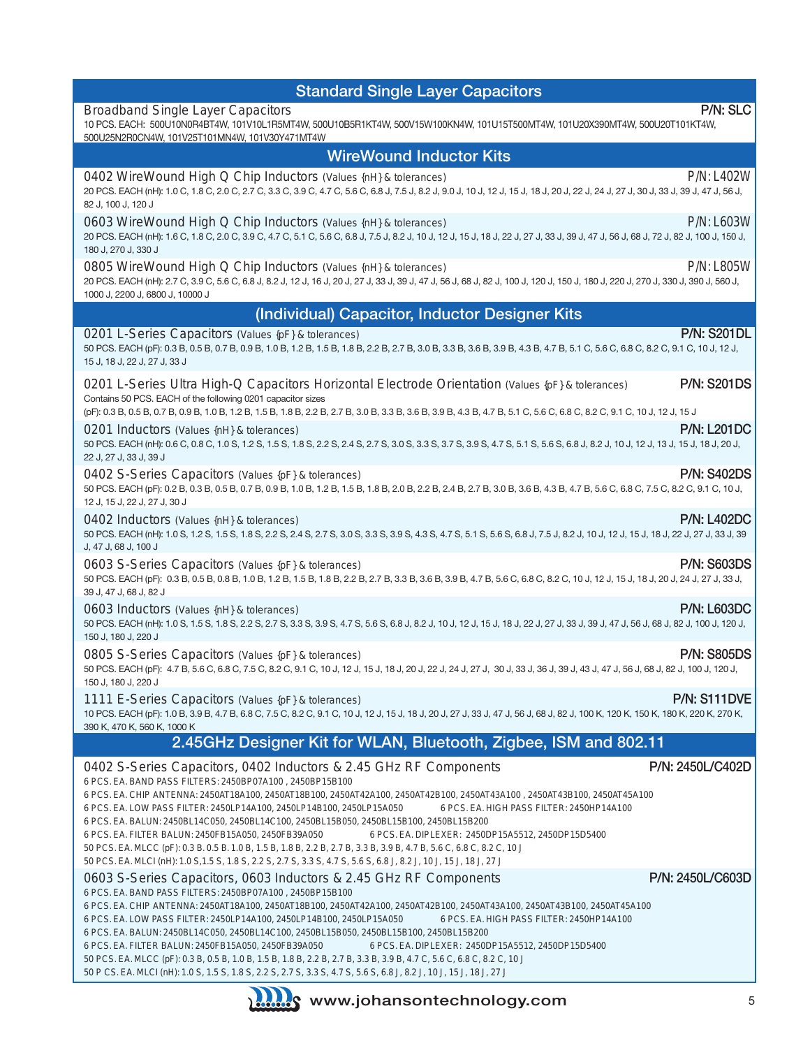| <b>Standard Single Layer Capacitors</b>                                                                                                                                                                                                                                                                                                                                                                                                                                                                                                                                                                                                                                                                                                                                                                                                 |                     |
|-----------------------------------------------------------------------------------------------------------------------------------------------------------------------------------------------------------------------------------------------------------------------------------------------------------------------------------------------------------------------------------------------------------------------------------------------------------------------------------------------------------------------------------------------------------------------------------------------------------------------------------------------------------------------------------------------------------------------------------------------------------------------------------------------------------------------------------------|---------------------|
| <b>Broadband Single Layer Capacitors</b><br>10 PCS. EACH: 500U10N0R4BT4W, 101V10L1R5MT4W, 500U10B5R1KT4W, 500V15W100KN4W, 101U15T500MT4W, 101U20X390MT4W, 500U20T101KT4W,<br>500U25N2R0CN4W, 101V25T101MN4W, 101V30Y471MT4W                                                                                                                                                                                                                                                                                                                                                                                                                                                                                                                                                                                                             | P/N: SLC            |
| <b>WireWound Inductor Kits</b>                                                                                                                                                                                                                                                                                                                                                                                                                                                                                                                                                                                                                                                                                                                                                                                                          |                     |
| 0402 WireWound High Q Chip Inductors (Values {nH} & tolerances)<br>20 PCS. EACH (nH): 1.0 C, 1.8 C, 2.0 C, 2.7 C, 3.3 C, 3.9 C, 4.7 C, 5.6 C, 6.8 J, 7.5 J, 8.2 J, 9.0 J, 10 J, 12 J, 15 J, 18 J, 20 J, 22 J, 24 J, 27 J, 30 J, 30 J, 30 J, 39 J, 47 J, 56 J,<br>82 J, 100 J, 120 J                                                                                                                                                                                                                                                                                                                                                                                                                                                                                                                                                     | P/N: L402W          |
| 0603 WireWound High Q Chip Inductors (Values {nH} & tolerances)<br>20 PCS. EACH (nH): 1.6 C, 1.8 C, 2.0 C, 3.9 C, 4.7 C, 5.1 C, 5.6 C, 6.8 J, 7.5 J, 8.2 J, 10 J, 12 J, 15 J, 18 J, 22 J, 27 J, 33 J, 39 J, 47 J, 56 J, 68 J, 72 J, 82 J, 100 J, 150 J,<br>180 J, 270 J, 330 J                                                                                                                                                                                                                                                                                                                                                                                                                                                                                                                                                          | <b>P/N: L603W</b>   |
| 0805 WireWound High Q Chip Inductors (Values {nH} & tolerances)<br>20 PCS. EACH (nH): 2.7 C, 3.9 C, 5.6 C, 6.8 J, 8.2 J, 12 J, 16 J, 20 J, 27 J, 33 J, 39 J, 47 J, 56 J, 68 J, 82 J, 100 J, 120 J, 150 J, 150 J, 180 J, 220 J, 270 J, 330 J, 390 J, 560 J,<br>1000 J, 2200 J, 6800 J, 10000 J                                                                                                                                                                                                                                                                                                                                                                                                                                                                                                                                           | <b>P/N: L805W</b>   |
| (Individual) Capacitor, Inductor Designer Kits                                                                                                                                                                                                                                                                                                                                                                                                                                                                                                                                                                                                                                                                                                                                                                                          |                     |
| 0201 L-Series Capacitors (Values {pF} & tolerances)<br>50 PCS. EACH (pF): 0.3 B, 0.5 B, 0.7 B, 0.9 B, 1.0 B, 1.2 B, 1.5 B, 1.8 B, 2.2 B, 2.7 B, 3.0 B, 3.3 B, 3.6 B, 3.9 B, 4.3 B, 4.7 B, 5.1 C, 5.6 C, 6.8 C, 6.8 C, 8.2 C, 9.1 C, 10 J, 12 J,<br>15 J, 18 J, 22 J, 27 J, 33 J                                                                                                                                                                                                                                                                                                                                                                                                                                                                                                                                                         | <b>P/N: S201DL</b>  |
| 0201 L-Series Ultra High-Q Capacitors Horizontal Electrode Orientation (Values {pF} & tolerances)<br>Contains 50 PCS. EACH of the following 0201 capacitor sizes<br>(pF): 0.3 B, 0.5 B, 0.7 B, 0.9 B, 1.0 B, 1.2 B, 1.5 B, 1.8 B, 2.2 B, 2.7 B, 3.0 B, 3.3 B, 3.6 B, 3.9 B, 4.3 B, 4.7 B, 5.1 C, 5.6 C, 6.8 C, 6.8 C, 8.2 C, 9.1 C, 10 J, 12 J, 15 J                                                                                                                                                                                                                                                                                                                                                                                                                                                                                    | <b>P/N: S201DS</b>  |
| 0201 Inductors (Values {nH} & tolerances)<br>50 PCS. EACH (nH): 0.6 C, 0.8 C, 1.0 S, 1.2 S, 1.5 S, 1.8 S, 2.2 S, 2.4 S, 2.7 S, 3.0 S, 3.3 S, 3.7 S, 3.9 S, 4.7 S, 5.1 S, 5.6 S, 6.8 J, 6.2 J, 10 J, 12 J, 12 J, 13 J, 15 J, 18 J, 20 J,<br>22 J, 27 J, 33 J, 39 J                                                                                                                                                                                                                                                                                                                                                                                                                                                                                                                                                                       | <b>P/N: L201DC</b>  |
| 0402 S-Series Capacitors (Values {pF} & tolerances)<br>50 PCS. EACH (pF): 0.2 B, 0.3 B, 0.5 B, 0.7 B, 0.9 B, 1.0 B, 1.2 B, 1.5 B, 1.8 B, 2.0 B, 2.2 B, 2.4 B, 2.7 B, 3.0 B, 3.6 B, 4.3 B, 4.7 B, 5.6 C, 6.8 C, 7.5 C, 8.2 C, 9.1 C, 10 J,<br>12 J, 15 J, 22 J, 27 J, 30 J                                                                                                                                                                                                                                                                                                                                                                                                                                                                                                                                                               | <b>P/N: S402DS</b>  |
| 0402 Inductors (Values {nH} & tolerances)<br>50 PCS. EACH (nH): 1.0 S, 1.2 S, 1.5 S, 1.8 S, 2.2 S, 2.4 S, 2.7 S, 3.0 S, 3.3 S, 3.9 S, 4.3 S, 4.7 S, 5.1 S, 5.6 S, 6.8 J, 7.5 J, 8.2 J, 10 J, 12 J, 15 J, 18 J, 22 J, 27 J, 33 J, 39<br>J, 47 J, 68 J, 100 J                                                                                                                                                                                                                                                                                                                                                                                                                                                                                                                                                                             | <b>P/N: L402DC</b>  |
| 0603 S-Series Capacitors (Values {pF} & tolerances)<br>50 PCS. EACH (pF): 0.3 B, 0.5 B, 0.8 B, 1.0 B, 1.2 B, 1.5 B, 1.8 B, 2.2 B, 2.7 B, 3.3 B, 3.6 B, 3.9 B, 4.7 B, 5.6 C, 6.8 C, 8.2 C, 10 J, 12 J, 15 J, 18 J, 18 J, 20 J, 24 J, 27 J, 33 J,<br>39 J, 47 J, 68 J, 82 J                                                                                                                                                                                                                                                                                                                                                                                                                                                                                                                                                               | <b>P/N: S603DS</b>  |
| 0603 Inductors (Values {nH} & tolerances)<br>50 PCS. EACH (nH): 1.0 S, 1.5 S, 1.8 S, 2.2 S, 2.7 S, 3.3 S, 3.9 S, 4.7 S, 5.6 S, 6.8 J, 8.2 J, 10 J, 12 J, 15 J, 15 J, 18 J, 22 J, 27 J, 33 J, 39 J, 47 J, 56 J, 68 J, 68 J, 62 J, 100 J, 120 J<br>150 J, 180 J, 220 J                                                                                                                                                                                                                                                                                                                                                                                                                                                                                                                                                                    | <b>P/N: L603DC</b>  |
| 0805 S-Series Capacitors (Values {pF} & tolerances)<br>50 PCS. EACH (pF): 4.7 B, 5.6 C, 6.8 C, 7.5 C, 8.2 C, 9.1 C, 10 J, 12 J, 15 J, 18 J, 20 J, 22 J, 24 J, 27 J, 30 J, 33 J, 36 J, 39 J, 43 J, 47 J, 56 J, 68 J, 68 J, 62 J, 100 J, 120 J,<br>150 J, 180 J, 220 J                                                                                                                                                                                                                                                                                                                                                                                                                                                                                                                                                                    | <b>P/N: S805DS</b>  |
| 1111 E-Series Capacitors (Values {pF} & tolerances)<br>10 PCS. EACH (pF): 1.0 B, 3.9 B, 4.7 B, 6.8 C, 7.5 C, 8.2 C, 9.1 C, 10 J, 12 J, 15 J, 18 J, 20 J, 27 J, 33 J, 47 J, 56 J, 68 J, 82 J, 100 K, 120 K, 150 K, 150 K, 220 K, 220 K, 270 K,<br>390 K, 470 K, 560 K, 1000 K                                                                                                                                                                                                                                                                                                                                                                                                                                                                                                                                                            | <b>P/N: S111DVE</b> |
| 2.45GHz Designer Kit for WLAN, Bluetooth, Zigbee, ISM and 802.11                                                                                                                                                                                                                                                                                                                                                                                                                                                                                                                                                                                                                                                                                                                                                                        |                     |
| 0402 S-Series Capacitors, 0402 Inductors & 2.45 GHz RF Components<br>6 PCS. EA. BAND PASS FILTERS: 2450BP07A100, 2450BP15B100<br>6 PCS. EA. CHIP ANTENNA: 2450AT18A100, 2450AT18B100, 2450AT42A100, 2450AT42B100, 2450AT43A100, 2450AT43B100, 2450AT45A100<br>6 PCS. EA. LOW PASS FILTER: 2450LP14A100, 2450LP14B100, 2450LP15A050<br>6 PCS. EA. HIGH PASS FILTER: 2450HP14A100<br>6 PCS. EA. BALUN: 2450BL14C050, 2450BL14C100, 2450BL15B050, 2450BL15B100, 2450BL15B200<br>6 PCS. EA. FILTER BALUN: 2450FB15A050, 2450FB39A050<br>6 PCS. EA. DIPLEXER: 2450DP15A5512, 2450DP15D5400<br>50 PCS. EA. MLCC (pF): 0.3 B. 0.5 B. 1.0 B, 1.5 B, 1.8 B, 2.2 B, 2.7 B, 3.3 B, 3.9 B, 4.7 B, 5.6 C, 6.8 C, 8.2 C, 10 J<br>50 PCS. EA. MLCI (nH): 1.0 S, 1.5 S, 1.8 S, 2.2 S, 2.7 S, 3.3 S, 4.7 S, 5.6 S, 6.8 J, 8.2 J, 10 J, 15 J, 18 J, 27 J  | P/N: 2450L/C402D    |
| 0603 S-Series Capacitors, 0603 Inductors & 2.45 GHz RF Components<br>6 PCS. EA. BAND PASS FILTERS: 2450BP07A100, 2450BP15B100<br>6 PCS. EA. CHIP ANTENNA: 2450AT18A100, 2450AT18B100, 2450AT42A100, 2450AT42B100, 2450AT43A100, 2450AT43B100, 2450AT45A100<br>6 PCS. EA. LOW PASS FILTER: 2450LP14A100, 2450LP14B100, 2450LP15A050<br>6 PCS. EA. HIGH PASS FILTER: 2450HP14A100<br>6 PCS. EA. BALUN: 2450BL14C050, 2450BL14C100, 2450BL15B050, 2450BL15B100, 2450BL15B200<br>6 PCS. EA. FILTER BALUN: 2450FB15A050, 2450FB39A050<br>6 PCS. EA. DIPLEXER: 2450DP15A5512, 2450DP15D5400<br>50 PCS. EA. MLCC (pF): 0.3 B, 0.5 B, 1.0 B, 1.5 B, 1.8 B, 2.2 B, 2.7 B, 3.3 B, 3.9 B, 4.7 C, 5.6 C, 6.8 C, 8.2 C, 10 J<br>50 P CS. EA. MLCI (nH): 1.0 S, 1.5 S, 1.8 S, 2.2 S, 2.7 S, 3.3 S, 4.7 S, 5.6 S, 6.8 J, 8.2 J, 10 J, 15 J, 18 J, 27 J | P/N: 2450L/C603D    |